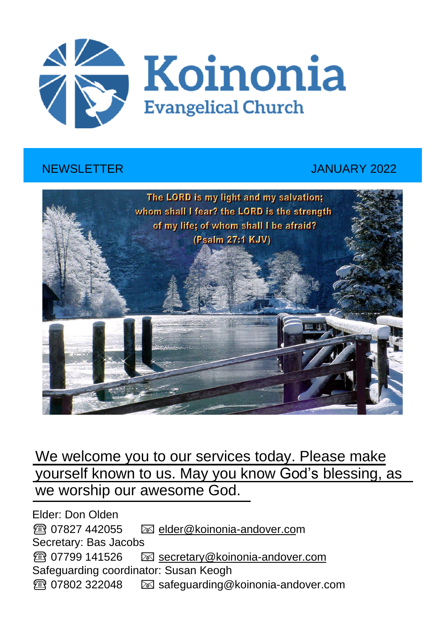

#### NEWSLETTER JANUARY 2022



# We welcome you to our services today. Please make yourself known to us. May you know God's blessing, as we worship our awesome God.

Elder: Don Olden ☎️ 07827 442055 [elder@koinonia-andover.com](mailto:elder@koinonia-andover.co) Secretary: Bas Jacobs **■ 07799 141526 M** [secretary@koinonia-andover.com](mailto:secretary@koinonia-andover.com) Safeguarding coordinator: Susan Keogh ☎️ 07802 322048 safeguarding@koinonia-andover.com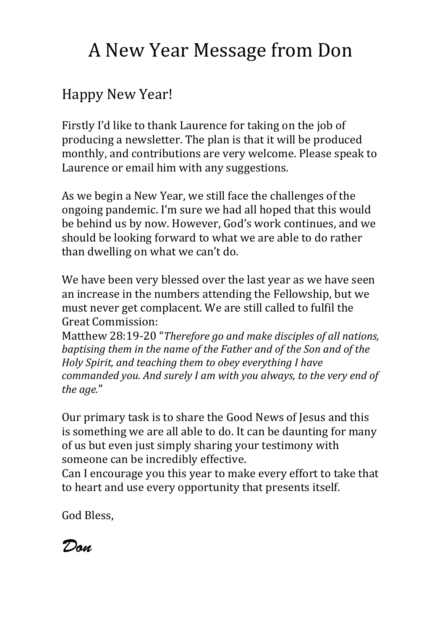# A New Year Message from Don

# Happy New Year!

Firstly I'd like to thank Laurence for taking on the job of producing a newsletter. The plan is that it will be produced monthly, and contributions are very welcome. Please speak to Laurence or email him with any suggestions.

As we begin a New Year, we still face the challenges of the ongoing pandemic. I'm sure we had all hoped that this would be behind us by now. However, God's work continues, and we should be looking forward to what we are able to do rather than dwelling on what we can't do.

We have been very blessed over the last year as we have seen an increase in the numbers attending the Fellowship, but we must never get complacent. We are still called to fulfil the Great Commission:

Matthew 28:19-20 "*Therefore go and make disciples of all nations, baptising them in the name of the Father and of the Son and of the Holy Spirit, and teaching them to obey everything I have commanded you. And surely I am with you always, to the very end of the age.*"

Our primary task is to share the Good News of Jesus and this is something we are all able to do. It can be daunting for many of us but even just simply sharing your testimony with someone can be incredibly effective.

Can I encourage you this year to make every effort to take that to heart and use every opportunity that presents itself.

God Bless,

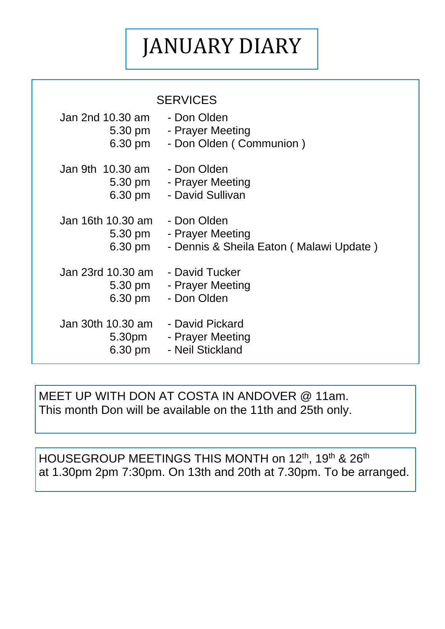# JANUARY DIARY

#### **SERVICES**

| Jan 2nd 10.30 am  | - Don Olden                             |
|-------------------|-----------------------------------------|
| 5.30 pm           | - Prayer Meeting                        |
| 6.30 pm           | - Don Olden (Communion)                 |
| Jan 9th 10.30 am  | - Don Olden                             |
| 5.30 pm           | - Prayer Meeting                        |
| 6.30 pm           | - David Sullivan                        |
| Jan 16th 10.30 am | - Don Olden                             |
| 5.30 pm           | - Prayer Meeting                        |
| 6.30 pm           | - Dennis & Sheila Eaton (Malawi Update) |
| Jan 23rd 10.30 am | - David Tucker                          |
| 5.30 pm           | - Prayer Meeting                        |
| 6.30 pm           | - Don Olden                             |
| Jan 30th 10.30 am | - David Pickard                         |
| 5.30pm            | - Prayer Meeting                        |
| 6.30 pm           | - Neil Stickland                        |

MEET UP WITH DON AT COSTA IN ANDOVER @ 11am. This month Don will be available on the 11th and 25th only.

HOUSEGROUP MEETINGS THIS MONTH on 12<sup>th</sup>, 19<sup>th</sup> & 26<sup>th</sup> at 1.30pm 2pm 7:30pm. On 13th and 20th at 7.30pm. To be arranged.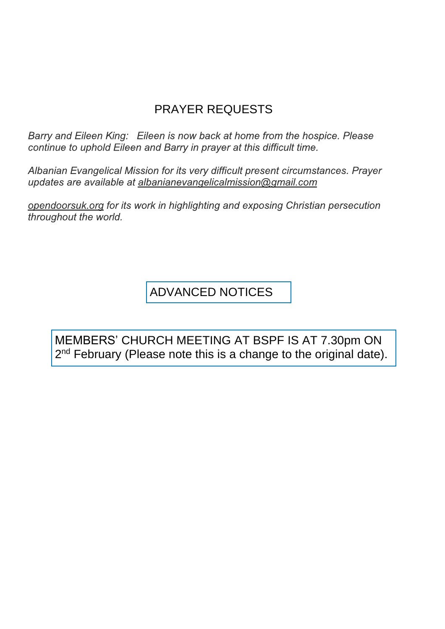### PRAYER REQUESTS

Barry and Eileen King: Eileen is now back at home from the hospice. Please continue to uphold Eileen and Barry in prayer at this difficult time.

Albanian Evangelical Mission for its very difficult present circumstances. Prayer updates are available at albanianevangelicalmission@gmail.com

opendoorsuk.org for its work in highlighting and exposing Christian persecution throughout the world.

ADVANCED NOTICES

MEMBERS' CHURCH MEETING AT BSPF IS AT 7.30pm ON 2<sup>nd</sup> February (Please note this is a change to the original date).